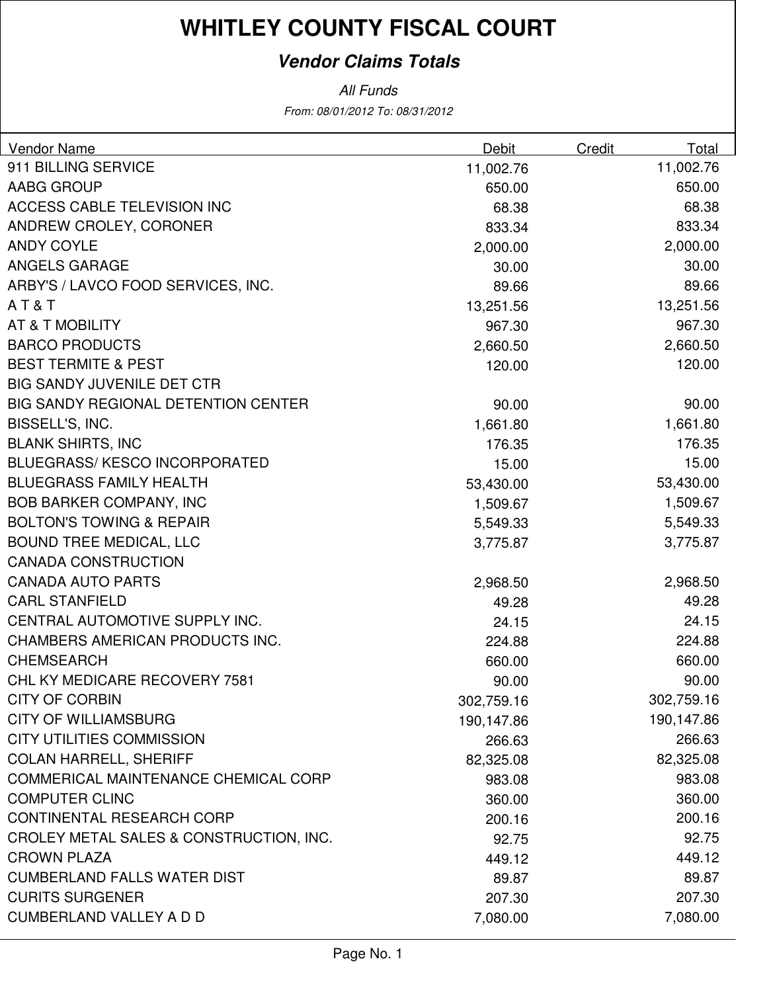### **Vendor Claims Totals**

From: 08/01/2012 To: 08/31/2012 All Funds

| Vendor Name                                | Debit      | Credit | Total      |
|--------------------------------------------|------------|--------|------------|
| 911 BILLING SERVICE                        | 11,002.76  |        | 11,002.76  |
| AABG GROUP                                 | 650.00     |        | 650.00     |
| ACCESS CABLE TELEVISION INC                | 68.38      |        | 68.38      |
| ANDREW CROLEY, CORONER                     | 833.34     |        | 833.34     |
| <b>ANDY COYLE</b>                          | 2,000.00   |        | 2,000.00   |
| <b>ANGELS GARAGE</b>                       | 30.00      |        | 30.00      |
| ARBY'S / LAVCO FOOD SERVICES, INC.         | 89.66      |        | 89.66      |
| AT&T                                       | 13,251.56  |        | 13,251.56  |
| AT & T MOBILITY                            | 967.30     |        | 967.30     |
| <b>BARCO PRODUCTS</b>                      | 2,660.50   |        | 2,660.50   |
| <b>BEST TERMITE &amp; PEST</b>             | 120.00     |        | 120.00     |
| <b>BIG SANDY JUVENILE DET CTR</b>          |            |        |            |
| <b>BIG SANDY REGIONAL DETENTION CENTER</b> | 90.00      |        | 90.00      |
| BISSELL'S, INC.                            | 1,661.80   |        | 1,661.80   |
| <b>BLANK SHIRTS, INC</b>                   | 176.35     |        | 176.35     |
| <b>BLUEGRASS/ KESCO INCORPORATED</b>       | 15.00      |        | 15.00      |
| <b>BLUEGRASS FAMILY HEALTH</b>             | 53,430.00  |        | 53,430.00  |
| <b>BOB BARKER COMPANY, INC</b>             | 1,509.67   |        | 1,509.67   |
| <b>BOLTON'S TOWING &amp; REPAIR</b>        | 5,549.33   |        | 5,549.33   |
| <b>BOUND TREE MEDICAL, LLC</b>             | 3,775.87   |        | 3,775.87   |
| <b>CANADA CONSTRUCTION</b>                 |            |        |            |
| <b>CANADA AUTO PARTS</b>                   | 2,968.50   |        | 2,968.50   |
| <b>CARL STANFIELD</b>                      | 49.28      |        | 49.28      |
| CENTRAL AUTOMOTIVE SUPPLY INC.             | 24.15      |        | 24.15      |
| CHAMBERS AMERICAN PRODUCTS INC.            | 224.88     |        | 224.88     |
| <b>CHEMSEARCH</b>                          | 660.00     |        | 660.00     |
| CHL KY MEDICARE RECOVERY 7581              | 90.00      |        | 90.00      |
| <b>CITY OF CORBIN</b>                      | 302,759.16 |        | 302,759.16 |
| <b>CITY OF WILLIAMSBURG</b>                | 190,147.86 |        | 190,147.86 |
| <b>CITY UTILITIES COMMISSION</b>           | 266.63     |        | 266.63     |
| <b>COLAN HARRELL, SHERIFF</b>              | 82,325.08  |        | 82,325.08  |
| COMMERICAL MAINTENANCE CHEMICAL CORP       | 983.08     |        | 983.08     |
| <b>COMPUTER CLINC</b>                      | 360.00     |        | 360.00     |
| <b>CONTINENTAL RESEARCH CORP</b>           | 200.16     |        | 200.16     |
| CROLEY METAL SALES & CONSTRUCTION, INC.    | 92.75      |        | 92.75      |
| <b>CROWN PLAZA</b>                         | 449.12     |        | 449.12     |
| <b>CUMBERLAND FALLS WATER DIST</b>         | 89.87      |        | 89.87      |
| <b>CURITS SURGENER</b>                     | 207.30     |        | 207.30     |
| <b>CUMBERLAND VALLEY A D D</b>             | 7,080.00   |        | 7,080.00   |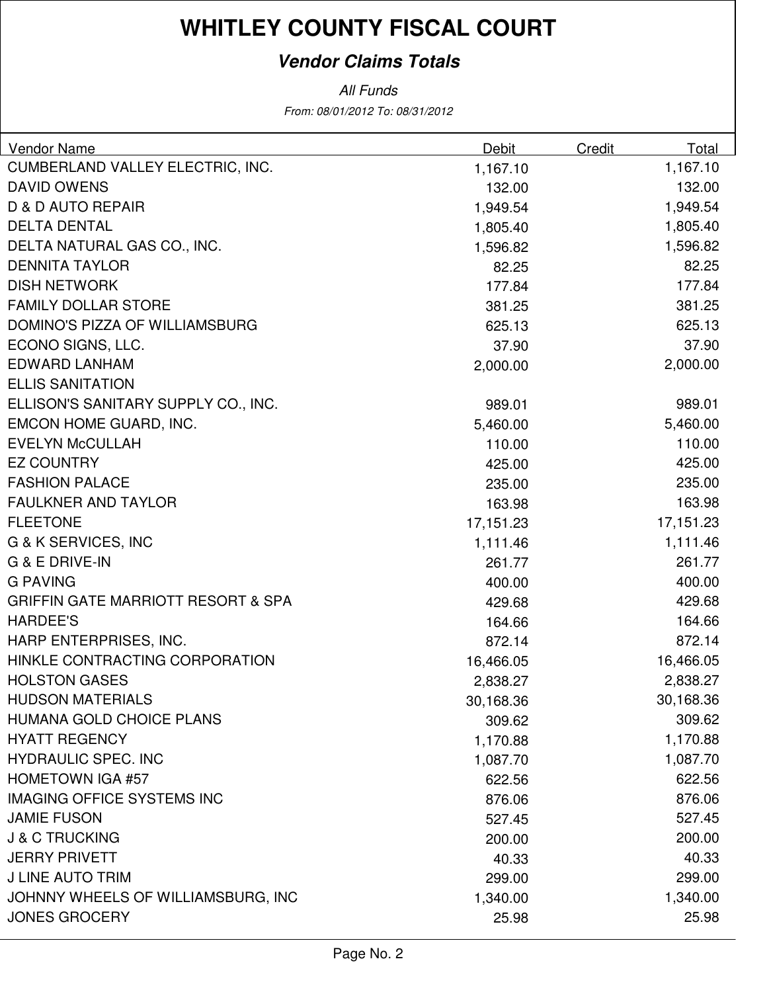### **Vendor Claims Totals**

All Funds

From: 08/01/2012 To: 08/31/2012

| CUMBERLAND VALLEY ELECTRIC, INC.<br>1,167.10<br>1,167.10<br><b>DAVID OWENS</b><br>132.00<br>132.00<br><b>D &amp; D AUTO REPAIR</b><br>1,949.54<br>1,949.54<br><b>DELTA DENTAL</b><br>1,805.40<br>1,805.40<br>DELTA NATURAL GAS CO., INC.<br>1,596.82<br>1,596.82<br><b>DENNITA TAYLOR</b><br>82.25<br>82.25<br><b>DISH NETWORK</b><br>177.84<br>177.84<br><b>FAMILY DOLLAR STORE</b><br>381.25<br>381.25<br>DOMINO'S PIZZA OF WILLIAMSBURG<br>625.13<br>625.13<br>ECONO SIGNS, LLC.<br>37.90<br>37.90<br><b>EDWARD LANHAM</b><br>2,000.00<br>2,000.00<br><b>ELLIS SANITATION</b><br>ELLISON'S SANITARY SUPPLY CO., INC.<br>989.01<br>989.01<br>EMCON HOME GUARD, INC.<br>5,460.00<br>5,460.00 | Vendor Name | Debit | Credit | Total |
|-----------------------------------------------------------------------------------------------------------------------------------------------------------------------------------------------------------------------------------------------------------------------------------------------------------------------------------------------------------------------------------------------------------------------------------------------------------------------------------------------------------------------------------------------------------------------------------------------------------------------------------------------------------------------------------------------|-------------|-------|--------|-------|
|                                                                                                                                                                                                                                                                                                                                                                                                                                                                                                                                                                                                                                                                                               |             |       |        |       |
|                                                                                                                                                                                                                                                                                                                                                                                                                                                                                                                                                                                                                                                                                               |             |       |        |       |
|                                                                                                                                                                                                                                                                                                                                                                                                                                                                                                                                                                                                                                                                                               |             |       |        |       |
|                                                                                                                                                                                                                                                                                                                                                                                                                                                                                                                                                                                                                                                                                               |             |       |        |       |
|                                                                                                                                                                                                                                                                                                                                                                                                                                                                                                                                                                                                                                                                                               |             |       |        |       |
|                                                                                                                                                                                                                                                                                                                                                                                                                                                                                                                                                                                                                                                                                               |             |       |        |       |
|                                                                                                                                                                                                                                                                                                                                                                                                                                                                                                                                                                                                                                                                                               |             |       |        |       |
|                                                                                                                                                                                                                                                                                                                                                                                                                                                                                                                                                                                                                                                                                               |             |       |        |       |
|                                                                                                                                                                                                                                                                                                                                                                                                                                                                                                                                                                                                                                                                                               |             |       |        |       |
|                                                                                                                                                                                                                                                                                                                                                                                                                                                                                                                                                                                                                                                                                               |             |       |        |       |
|                                                                                                                                                                                                                                                                                                                                                                                                                                                                                                                                                                                                                                                                                               |             |       |        |       |
|                                                                                                                                                                                                                                                                                                                                                                                                                                                                                                                                                                                                                                                                                               |             |       |        |       |
|                                                                                                                                                                                                                                                                                                                                                                                                                                                                                                                                                                                                                                                                                               |             |       |        |       |
|                                                                                                                                                                                                                                                                                                                                                                                                                                                                                                                                                                                                                                                                                               |             |       |        |       |
| <b>EVELYN McCULLAH</b><br>110.00<br>110.00                                                                                                                                                                                                                                                                                                                                                                                                                                                                                                                                                                                                                                                    |             |       |        |       |
| <b>EZ COUNTRY</b><br>425.00<br>425.00                                                                                                                                                                                                                                                                                                                                                                                                                                                                                                                                                                                                                                                         |             |       |        |       |
| <b>FASHION PALACE</b><br>235.00<br>235.00                                                                                                                                                                                                                                                                                                                                                                                                                                                                                                                                                                                                                                                     |             |       |        |       |
| <b>FAULKNER AND TAYLOR</b><br>163.98<br>163.98                                                                                                                                                                                                                                                                                                                                                                                                                                                                                                                                                                                                                                                |             |       |        |       |
| <b>FLEETONE</b><br>17,151.23<br>17,151.23                                                                                                                                                                                                                                                                                                                                                                                                                                                                                                                                                                                                                                                     |             |       |        |       |
| <b>G &amp; K SERVICES, INC</b><br>1,111.46<br>1,111.46                                                                                                                                                                                                                                                                                                                                                                                                                                                                                                                                                                                                                                        |             |       |        |       |
| G & E DRIVE-IN<br>261.77<br>261.77                                                                                                                                                                                                                                                                                                                                                                                                                                                                                                                                                                                                                                                            |             |       |        |       |
| <b>G PAVING</b><br>400.00<br>400.00                                                                                                                                                                                                                                                                                                                                                                                                                                                                                                                                                                                                                                                           |             |       |        |       |
| <b>GRIFFIN GATE MARRIOTT RESORT &amp; SPA</b><br>429.68<br>429.68                                                                                                                                                                                                                                                                                                                                                                                                                                                                                                                                                                                                                             |             |       |        |       |
| <b>HARDEE'S</b><br>164.66<br>164.66                                                                                                                                                                                                                                                                                                                                                                                                                                                                                                                                                                                                                                                           |             |       |        |       |
| HARP ENTERPRISES, INC.<br>872.14<br>872.14                                                                                                                                                                                                                                                                                                                                                                                                                                                                                                                                                                                                                                                    |             |       |        |       |
| HINKLE CONTRACTING CORPORATION<br>16,466.05<br>16,466.05                                                                                                                                                                                                                                                                                                                                                                                                                                                                                                                                                                                                                                      |             |       |        |       |
| <b>HOLSTON GASES</b><br>2,838.27<br>2,838.27                                                                                                                                                                                                                                                                                                                                                                                                                                                                                                                                                                                                                                                  |             |       |        |       |
| <b>HUDSON MATERIALS</b><br>30,168.36<br>30,168.36                                                                                                                                                                                                                                                                                                                                                                                                                                                                                                                                                                                                                                             |             |       |        |       |
| HUMANA GOLD CHOICE PLANS<br>309.62<br>309.62                                                                                                                                                                                                                                                                                                                                                                                                                                                                                                                                                                                                                                                  |             |       |        |       |
| <b>HYATT REGENCY</b><br>1,170.88<br>1,170.88                                                                                                                                                                                                                                                                                                                                                                                                                                                                                                                                                                                                                                                  |             |       |        |       |
| <b>HYDRAULIC SPEC. INC</b><br>1,087.70<br>1,087.70                                                                                                                                                                                                                                                                                                                                                                                                                                                                                                                                                                                                                                            |             |       |        |       |
| <b>HOMETOWN IGA #57</b><br>622.56<br>622.56                                                                                                                                                                                                                                                                                                                                                                                                                                                                                                                                                                                                                                                   |             |       |        |       |
| <b>IMAGING OFFICE SYSTEMS INC</b><br>876.06<br>876.06                                                                                                                                                                                                                                                                                                                                                                                                                                                                                                                                                                                                                                         |             |       |        |       |
| <b>JAMIE FUSON</b><br>527.45<br>527.45                                                                                                                                                                                                                                                                                                                                                                                                                                                                                                                                                                                                                                                        |             |       |        |       |
| <b>J &amp; C TRUCKING</b><br>200.00<br>200.00                                                                                                                                                                                                                                                                                                                                                                                                                                                                                                                                                                                                                                                 |             |       |        |       |
| <b>JERRY PRIVETT</b><br>40.33<br>40.33                                                                                                                                                                                                                                                                                                                                                                                                                                                                                                                                                                                                                                                        |             |       |        |       |
| <b>J LINE AUTO TRIM</b><br>299.00<br>299.00                                                                                                                                                                                                                                                                                                                                                                                                                                                                                                                                                                                                                                                   |             |       |        |       |
| JOHNNY WHEELS OF WILLIAMSBURG, INC<br>1,340.00<br>1,340.00                                                                                                                                                                                                                                                                                                                                                                                                                                                                                                                                                                                                                                    |             |       |        |       |
| <b>JONES GROCERY</b><br>25.98<br>25.98                                                                                                                                                                                                                                                                                                                                                                                                                                                                                                                                                                                                                                                        |             |       |        |       |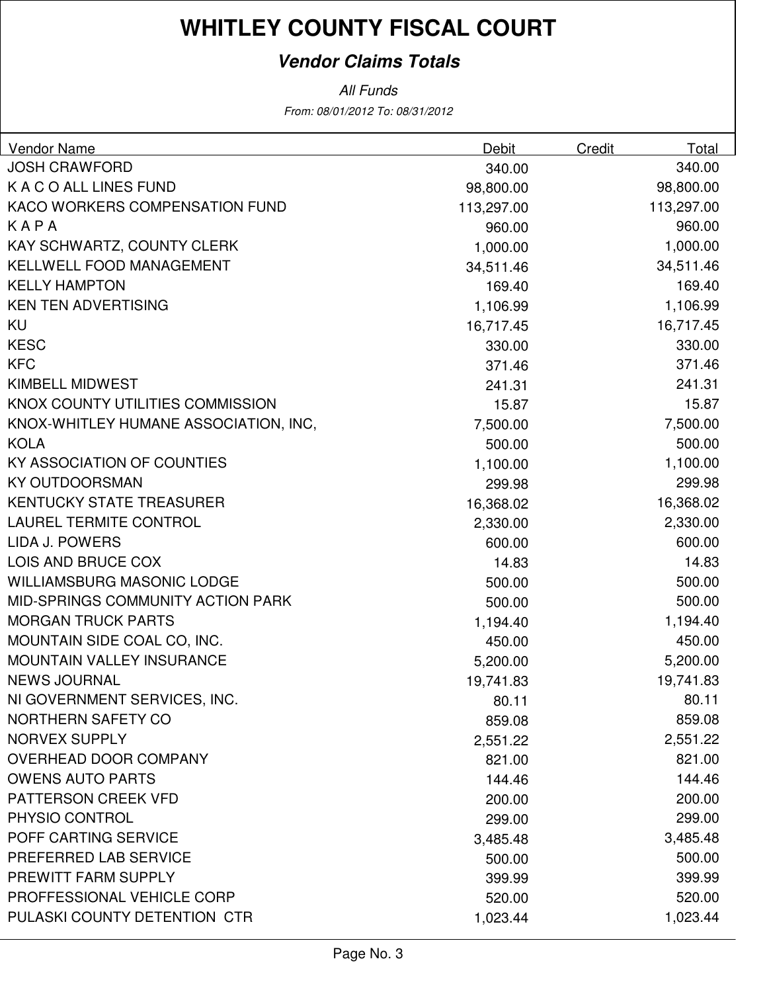### **Vendor Claims Totals**

From: 08/01/2012 To: 08/31/2012 All Funds

| Vendor Name                           | Debit      | <b>Credit</b> | Total      |
|---------------------------------------|------------|---------------|------------|
| <b>JOSH CRAWFORD</b>                  | 340.00     |               | 340.00     |
| K A C O ALL LINES FUND                | 98,800.00  |               | 98,800.00  |
| KACO WORKERS COMPENSATION FUND        | 113,297.00 |               | 113,297.00 |
| KAPA                                  | 960.00     |               | 960.00     |
| KAY SCHWARTZ, COUNTY CLERK            | 1,000.00   |               | 1,000.00   |
| KELLWELL FOOD MANAGEMENT              | 34,511.46  |               | 34,511.46  |
| <b>KELLY HAMPTON</b>                  | 169.40     |               | 169.40     |
| <b>KEN TEN ADVERTISING</b>            | 1,106.99   |               | 1,106.99   |
| KU                                    | 16,717.45  |               | 16,717.45  |
| <b>KESC</b>                           | 330.00     |               | 330.00     |
| <b>KFC</b>                            | 371.46     |               | 371.46     |
| <b>KIMBELL MIDWEST</b>                | 241.31     |               | 241.31     |
| KNOX COUNTY UTILITIES COMMISSION      | 15.87      |               | 15.87      |
| KNOX-WHITLEY HUMANE ASSOCIATION, INC, | 7,500.00   |               | 7,500.00   |
| <b>KOLA</b>                           | 500.00     |               | 500.00     |
| KY ASSOCIATION OF COUNTIES            | 1,100.00   |               | 1,100.00   |
| <b>KY OUTDOORSMAN</b>                 | 299.98     |               | 299.98     |
| <b>KENTUCKY STATE TREASURER</b>       | 16,368.02  |               | 16,368.02  |
| <b>LAUREL TERMITE CONTROL</b>         | 2,330.00   |               | 2,330.00   |
| LIDA J. POWERS                        | 600.00     |               | 600.00     |
| LOIS AND BRUCE COX                    | 14.83      |               | 14.83      |
| <b>WILLIAMSBURG MASONIC LODGE</b>     | 500.00     |               | 500.00     |
| MID-SPRINGS COMMUNITY ACTION PARK     | 500.00     |               | 500.00     |
| <b>MORGAN TRUCK PARTS</b>             | 1,194.40   |               | 1,194.40   |
| MOUNTAIN SIDE COAL CO, INC.           | 450.00     |               | 450.00     |
| <b>MOUNTAIN VALLEY INSURANCE</b>      | 5,200.00   |               | 5,200.00   |
| <b>NEWS JOURNAL</b>                   | 19,741.83  |               | 19,741.83  |
| NI GOVERNMENT SERVICES, INC.          | 80.11      |               | 80.11      |
| NORTHERN SAFETY CO                    | 859.08     |               | 859.08     |
| <b>NORVEX SUPPLY</b>                  | 2,551.22   |               | 2,551.22   |
| OVERHEAD DOOR COMPANY                 | 821.00     |               | 821.00     |
| <b>OWENS AUTO PARTS</b>               | 144.46     |               | 144.46     |
| PATTERSON CREEK VFD                   | 200.00     |               | 200.00     |
| PHYSIO CONTROL                        | 299.00     |               | 299.00     |
| POFF CARTING SERVICE                  | 3,485.48   |               | 3,485.48   |
| PREFERRED LAB SERVICE                 | 500.00     |               | 500.00     |
| PREWITT FARM SUPPLY                   | 399.99     |               | 399.99     |
| PROFFESSIONAL VEHICLE CORP            | 520.00     |               | 520.00     |
| PULASKI COUNTY DETENTION CTR          | 1,023.44   |               | 1,023.44   |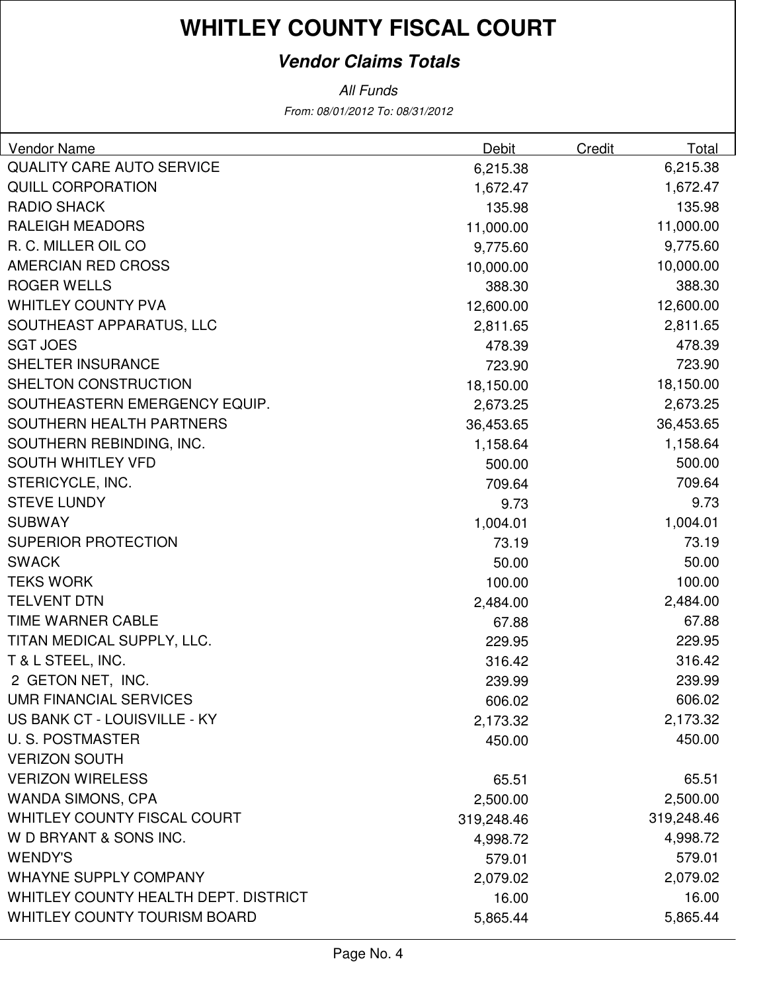### **Vendor Claims Totals**

From: 08/01/2012 To: 08/31/2012 All Funds

| Vendor Name                          | <b>Debit</b> | Credit | <b>Total</b> |
|--------------------------------------|--------------|--------|--------------|
| <b>QUALITY CARE AUTO SERVICE</b>     | 6,215.38     |        | 6,215.38     |
| <b>QUILL CORPORATION</b>             | 1,672.47     |        | 1,672.47     |
| <b>RADIO SHACK</b>                   | 135.98       |        | 135.98       |
| <b>RALEIGH MEADORS</b>               | 11,000.00    |        | 11,000.00    |
| R. C. MILLER OIL CO                  | 9,775.60     |        | 9,775.60     |
| AMERCIAN RED CROSS                   | 10,000.00    |        | 10,000.00    |
| <b>ROGER WELLS</b>                   | 388.30       |        | 388.30       |
| <b>WHITLEY COUNTY PVA</b>            | 12,600.00    |        | 12,600.00    |
| SOUTHEAST APPARATUS, LLC             | 2,811.65     |        | 2,811.65     |
| <b>SGT JOES</b>                      | 478.39       |        | 478.39       |
| SHELTER INSURANCE                    | 723.90       |        | 723.90       |
| SHELTON CONSTRUCTION                 | 18,150.00    |        | 18,150.00    |
| SOUTHEASTERN EMERGENCY EQUIP.        | 2,673.25     |        | 2,673.25     |
| SOUTHERN HEALTH PARTNERS             | 36,453.65    |        | 36,453.65    |
| SOUTHERN REBINDING, INC.             | 1,158.64     |        | 1,158.64     |
| <b>SOUTH WHITLEY VFD</b>             | 500.00       |        | 500.00       |
| STERICYCLE, INC.                     | 709.64       |        | 709.64       |
| <b>STEVE LUNDY</b>                   | 9.73         |        | 9.73         |
| <b>SUBWAY</b>                        | 1,004.01     |        | 1,004.01     |
| <b>SUPERIOR PROTECTION</b>           | 73.19        |        | 73.19        |
| <b>SWACK</b>                         | 50.00        |        | 50.00        |
| <b>TEKS WORK</b>                     | 100.00       |        | 100.00       |
| <b>TELVENT DTN</b>                   | 2,484.00     |        | 2,484.00     |
| TIME WARNER CABLE                    | 67.88        |        | 67.88        |
| TITAN MEDICAL SUPPLY, LLC.           | 229.95       |        | 229.95       |
| T & L STEEL, INC.                    | 316.42       |        | 316.42       |
| 2 GETON NET, INC.                    | 239.99       |        | 239.99       |
| <b>UMR FINANCIAL SERVICES</b>        | 606.02       |        | 606.02       |
| US BANK CT - LOUISVILLE - KY         | 2,173.32     |        | 2,173.32     |
| <b>U.S. POSTMASTER</b>               | 450.00       |        | 450.00       |
| <b>VERIZON SOUTH</b>                 |              |        |              |
| <b>VERIZON WIRELESS</b>              | 65.51        |        | 65.51        |
| <b>WANDA SIMONS, CPA</b>             | 2,500.00     |        | 2,500.00     |
| WHITLEY COUNTY FISCAL COURT          | 319,248.46   |        | 319,248.46   |
| W D BRYANT & SONS INC.               | 4,998.72     |        | 4,998.72     |
| <b>WENDY'S</b>                       | 579.01       |        | 579.01       |
| <b>WHAYNE SUPPLY COMPANY</b>         | 2,079.02     |        | 2,079.02     |
| WHITLEY COUNTY HEALTH DEPT. DISTRICT | 16.00        |        | 16.00        |
| <b>WHITLEY COUNTY TOURISM BOARD</b>  | 5,865.44     |        | 5,865.44     |